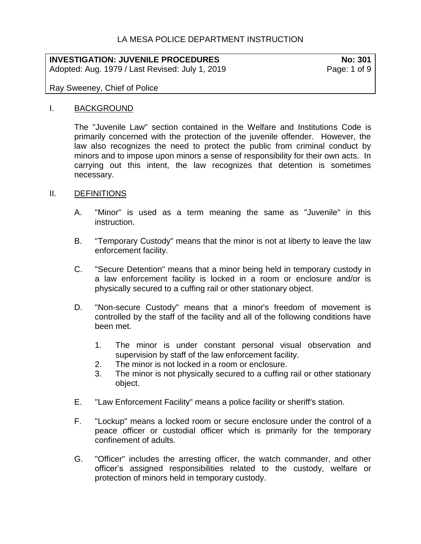# LA MESA POLICE DEPARTMENT INSTRUCTION

# **INVESTIGATION: JUVENILE PROCEDURES No: 301**

Adopted: Aug. 1979 / Last Revised: July 1, 2019 Page: 1 of 9

## Ray Sweeney, Chief of Police

#### I. BACKGROUND

The "Juvenile Law" section contained in the Welfare and Institutions Code is primarily concerned with the protection of the juvenile offender. However, the law also recognizes the need to protect the public from criminal conduct by minors and to impose upon minors a sense of responsibility for their own acts. In carrying out this intent, the law recognizes that detention is sometimes necessary.

#### II. DEFINITIONS

- A. "Minor" is used as a term meaning the same as "Juvenile" in this instruction.
- B. "Temporary Custody" means that the minor is not at liberty to leave the law enforcement facility.
- C. "Secure Detention" means that a minor being held in temporary custody in a law enforcement facility is locked in a room or enclosure and/or is physically secured to a cuffing rail or other stationary object.
- D. "Non-secure Custody" means that a minor's freedom of movement is controlled by the staff of the facility and all of the following conditions have been met.
	- 1. The minor is under constant personal visual observation and supervision by staff of the law enforcement facility.
	- 2. The minor is not locked in a room or enclosure.
	- 3. The minor is not physically secured to a cuffing rail or other stationary object.
- E. "Law Enforcement Facility" means a police facility or sheriff's station.
- F. "Lockup" means a locked room or secure enclosure under the control of a peace officer or custodial officer which is primarily for the temporary confinement of adults.
- G. "Officer" includes the arresting officer, the watch commander, and other officer's assigned responsibilities related to the custody, welfare or protection of minors held in temporary custody.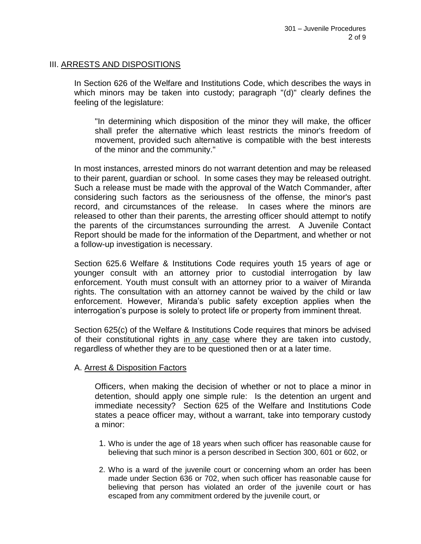## III. ARRESTS AND DISPOSITIONS

In Section 626 of the Welfare and Institutions Code, which describes the ways in which minors may be taken into custody; paragraph "(d)" clearly defines the feeling of the legislature:

"In determining which disposition of the minor they will make, the officer shall prefer the alternative which least restricts the minor's freedom of movement, provided such alternative is compatible with the best interests of the minor and the community."

In most instances, arrested minors do not warrant detention and may be released to their parent, guardian or school. In some cases they may be released outright. Such a release must be made with the approval of the Watch Commander, after considering such factors as the seriousness of the offense, the minor's past record, and circumstances of the release. In cases where the minors are released to other than their parents, the arresting officer should attempt to notify the parents of the circumstances surrounding the arrest. A Juvenile Contact Report should be made for the information of the Department, and whether or not a follow-up investigation is necessary.

Section 625.6 Welfare & Institutions Code requires youth 15 years of age or younger consult with an attorney prior to custodial interrogation by law enforcement. Youth must consult with an attorney prior to a waiver of Miranda rights. The consultation with an attorney cannot be waived by the child or law enforcement. However, Miranda's public safety exception applies when the interrogation's purpose is solely to protect life or property from imminent threat.

Section 625(c) of the Welfare & Institutions Code requires that minors be advised of their constitutional rights in any case where they are taken into custody, regardless of whether they are to be questioned then or at a later time.

#### A. Arrest & Disposition Factors

Officers, when making the decision of whether or not to place a minor in detention, should apply one simple rule: Is the detention an urgent and immediate necessity? Section 625 of the Welfare and Institutions Code states a peace officer may, without a warrant, take into temporary custody a minor:

- 1. Who is under the age of 18 years when such officer has reasonable cause for believing that such minor is a person described in Section 300, 601 or 602, or
- 2. Who is a ward of the juvenile court or concerning whom an order has been made under Section 636 or 702, when such officer has reasonable cause for believing that person has violated an order of the juvenile court or has escaped from any commitment ordered by the juvenile court, or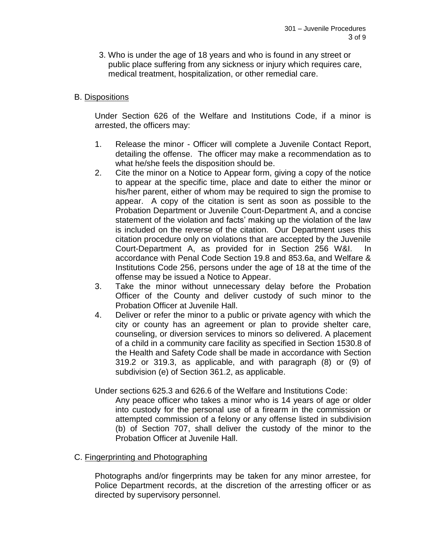3. Who is under the age of 18 years and who is found in any street or public place suffering from any sickness or injury which requires care, medical treatment, hospitalization, or other remedial care.

## B. Dispositions

Under Section 626 of the Welfare and Institutions Code, if a minor is arrested, the officers may:

- 1. Release the minor Officer will complete a Juvenile Contact Report, detailing the offense. The officer may make a recommendation as to what he/she feels the disposition should be.
- 2. Cite the minor on a Notice to Appear form, giving a copy of the notice to appear at the specific time, place and date to either the minor or his/her parent, either of whom may be required to sign the promise to appear. A copy of the citation is sent as soon as possible to the Probation Department or Juvenile Court-Department A, and a concise statement of the violation and facts' making up the violation of the law is included on the reverse of the citation. Our Department uses this citation procedure only on violations that are accepted by the Juvenile Court-Department A, as provided for in Section 256 W&I. In accordance with Penal Code Section 19.8 and 853.6a, and Welfare & Institutions Code 256, persons under the age of 18 at the time of the offense may be issued a Notice to Appear.
- 3. Take the minor without unnecessary delay before the Probation Officer of the County and deliver custody of such minor to the Probation Officer at Juvenile Hall.
- 4. Deliver or refer the minor to a public or private agency with which the city or county has an agreement or plan to provide shelter care, counseling, or diversion services to minors so delivered. A placement of a child in a community care facility as specified in Section 1530.8 of the Health and Safety Code shall be made in accordance with Section 319.2 or 319.3, as applicable, and with paragraph (8) or (9) of subdivision (e) of Section 361.2, as applicable.

Under sections 625.3 and 626.6 of the Welfare and Institutions Code:

Any peace officer who takes a minor who is 14 years of age or older into custody for the personal use of a firearm in the commission or attempted commission of a felony or any offense listed in subdivision (b) of Section 707, shall deliver the custody of the minor to the Probation Officer at Juvenile Hall.

#### C. Fingerprinting and Photographing

Photographs and/or fingerprints may be taken for any minor arrestee, for Police Department records, at the discretion of the arresting officer or as directed by supervisory personnel.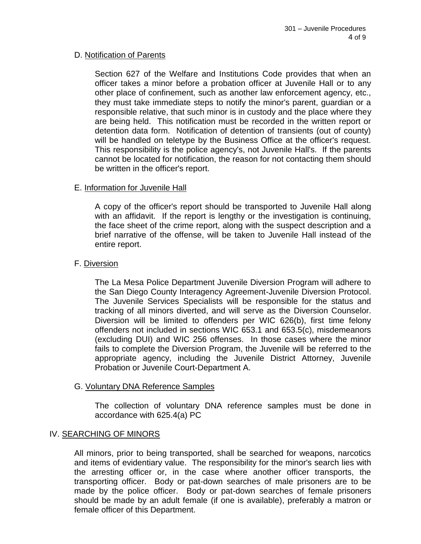## D. Notification of Parents

Section 627 of the Welfare and Institutions Code provides that when an officer takes a minor before a probation officer at Juvenile Hall or to any other place of confinement, such as another law enforcement agency, etc., they must take immediate steps to notify the minor's parent, guardian or a responsible relative, that such minor is in custody and the place where they are being held. This notification must be recorded in the written report or detention data form. Notification of detention of transients (out of county) will be handled on teletype by the Business Office at the officer's request. This responsibility is the police agency's, not Juvenile Hall's. If the parents cannot be located for notification, the reason for not contacting them should be written in the officer's report.

## E. Information for Juvenile Hall

A copy of the officer's report should be transported to Juvenile Hall along with an affidavit. If the report is lengthy or the investigation is continuing, the face sheet of the crime report, along with the suspect description and a brief narrative of the offense, will be taken to Juvenile Hall instead of the entire report.

## F. Diversion

The La Mesa Police Department Juvenile Diversion Program will adhere to the San Diego County Interagency Agreement-Juvenile Diversion Protocol. The Juvenile Services Specialists will be responsible for the status and tracking of all minors diverted, and will serve as the Diversion Counselor. Diversion will be limited to offenders per WIC 626(b), first time felony offenders not included in sections WIC 653.1 and 653.5(c), misdemeanors (excluding DUI) and WIC 256 offenses. In those cases where the minor fails to complete the Diversion Program, the Juvenile will be referred to the appropriate agency, including the Juvenile District Attorney, Juvenile Probation or Juvenile Court-Department A.

#### G. Voluntary DNA Reference Samples

The collection of voluntary DNA reference samples must be done in accordance with 625.4(a) PC

#### IV. SEARCHING OF MINORS

All minors, prior to being transported, shall be searched for weapons, narcotics and items of evidentiary value. The responsibility for the minor's search lies with the arresting officer or, in the case where another officer transports, the transporting officer. Body or pat-down searches of male prisoners are to be made by the police officer. Body or pat-down searches of female prisoners should be made by an adult female (if one is available), preferably a matron or female officer of this Department.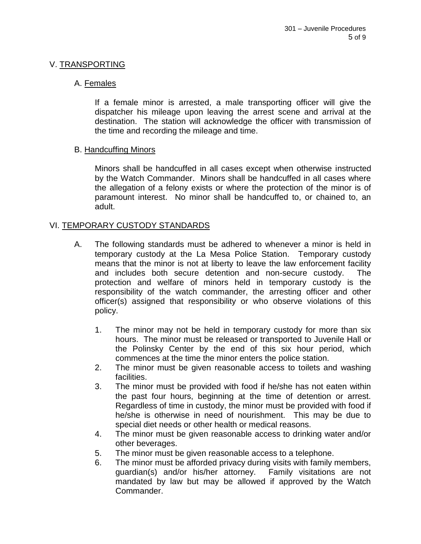## V. TRANSPORTING

## A. Females

If a female minor is arrested, a male transporting officer will give the dispatcher his mileage upon leaving the arrest scene and arrival at the destination. The station will acknowledge the officer with transmission of the time and recording the mileage and time.

## B. Handcuffing Minors

Minors shall be handcuffed in all cases except when otherwise instructed by the Watch Commander. Minors shall be handcuffed in all cases where the allegation of a felony exists or where the protection of the minor is of paramount interest. No minor shall be handcuffed to, or chained to, an adult.

## VI. TEMPORARY CUSTODY STANDARDS

- A. The following standards must be adhered to whenever a minor is held in temporary custody at the La Mesa Police Station. Temporary custody means that the minor is not at liberty to leave the law enforcement facility and includes both secure detention and non-secure custody. The protection and welfare of minors held in temporary custody is the responsibility of the watch commander, the arresting officer and other officer(s) assigned that responsibility or who observe violations of this policy.
	- 1. The minor may not be held in temporary custody for more than six hours. The minor must be released or transported to Juvenile Hall or the Polinsky Center by the end of this six hour period, which commences at the time the minor enters the police station.
	- 2. The minor must be given reasonable access to toilets and washing facilities.
	- 3. The minor must be provided with food if he/she has not eaten within the past four hours, beginning at the time of detention or arrest. Regardless of time in custody, the minor must be provided with food if he/she is otherwise in need of nourishment. This may be due to special diet needs or other health or medical reasons.
	- 4. The minor must be given reasonable access to drinking water and/or other beverages.
	- 5. The minor must be given reasonable access to a telephone.
	- 6. The minor must be afforded privacy during visits with family members, guardian(s) and/or his/her attorney. Family visitations are not mandated by law but may be allowed if approved by the Watch Commander.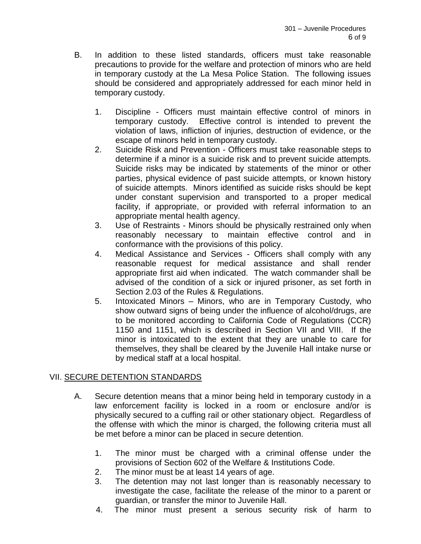- B. In addition to these listed standards, officers must take reasonable precautions to provide for the welfare and protection of minors who are held in temporary custody at the La Mesa Police Station. The following issues should be considered and appropriately addressed for each minor held in temporary custody.
	- 1. Discipline Officers must maintain effective control of minors in temporary custody. Effective control is intended to prevent the violation of laws, infliction of injuries, destruction of evidence, or the escape of minors held in temporary custody.
	- 2. Suicide Risk and Prevention Officers must take reasonable steps to determine if a minor is a suicide risk and to prevent suicide attempts. Suicide risks may be indicated by statements of the minor or other parties, physical evidence of past suicide attempts, or known history of suicide attempts. Minors identified as suicide risks should be kept under constant supervision and transported to a proper medical facility, if appropriate, or provided with referral information to an appropriate mental health agency.
	- 3. Use of Restraints Minors should be physically restrained only when reasonably necessary to maintain effective control and in conformance with the provisions of this policy.
	- 4. Medical Assistance and Services Officers shall comply with any reasonable request for medical assistance and shall render appropriate first aid when indicated. The watch commander shall be advised of the condition of a sick or injured prisoner, as set forth in Section 2.03 of the Rules & Regulations.
	- 5. Intoxicated Minors Minors, who are in Temporary Custody, who show outward signs of being under the influence of alcohol/drugs, are to be monitored according to California Code of Regulations (CCR) 1150 and 1151, which is described in Section VII and VIII. If the minor is intoxicated to the extent that they are unable to care for themselves, they shall be cleared by the Juvenile Hall intake nurse or by medical staff at a local hospital.

# VII. SECURE DETENTION STANDARDS

- A. Secure detention means that a minor being held in temporary custody in a law enforcement facility is locked in a room or enclosure and/or is physically secured to a cuffing rail or other stationary object. Regardless of the offense with which the minor is charged, the following criteria must all be met before a minor can be placed in secure detention.
	- 1. The minor must be charged with a criminal offense under the provisions of Section 602 of the Welfare & Institutions Code.
	- 2. The minor must be at least 14 years of age.
	- 3. The detention may not last longer than is reasonably necessary to investigate the case, facilitate the release of the minor to a parent or guardian, or transfer the minor to Juvenile Hall.
	- 4. The minor must present a serious security risk of harm to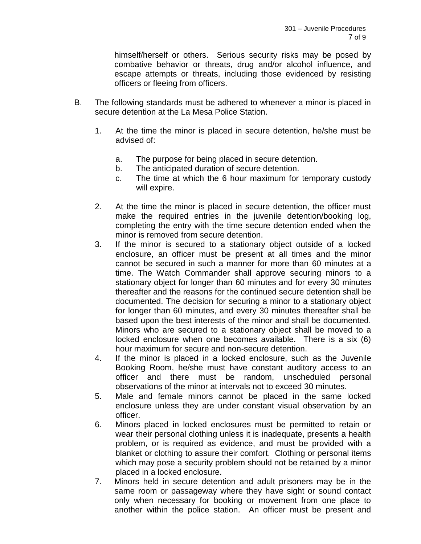himself/herself or others. Serious security risks may be posed by combative behavior or threats, drug and/or alcohol influence, and escape attempts or threats, including those evidenced by resisting officers or fleeing from officers.

- B. The following standards must be adhered to whenever a minor is placed in secure detention at the La Mesa Police Station.
	- 1. At the time the minor is placed in secure detention, he/she must be advised of:
		- a. The purpose for being placed in secure detention.
		- b. The anticipated duration of secure detention.
		- c. The time at which the 6 hour maximum for temporary custody will expire.
	- 2. At the time the minor is placed in secure detention, the officer must make the required entries in the juvenile detention/booking log, completing the entry with the time secure detention ended when the minor is removed from secure detention.
	- 3. If the minor is secured to a stationary object outside of a locked enclosure, an officer must be present at all times and the minor cannot be secured in such a manner for more than 60 minutes at a time. The Watch Commander shall approve securing minors to a stationary object for longer than 60 minutes and for every 30 minutes thereafter and the reasons for the continued secure detention shall be documented. The decision for securing a minor to a stationary object for longer than 60 minutes, and every 30 minutes thereafter shall be based upon the best interests of the minor and shall be documented. Minors who are secured to a stationary object shall be moved to a locked enclosure when one becomes available. There is a six (6) hour maximum for secure and non-secure detention.
	- 4. If the minor is placed in a locked enclosure, such as the Juvenile Booking Room, he/she must have constant auditory access to an officer and there must be random, unscheduled personal observations of the minor at intervals not to exceed 30 minutes.
	- 5. Male and female minors cannot be placed in the same locked enclosure unless they are under constant visual observation by an officer.
	- 6. Minors placed in locked enclosures must be permitted to retain or wear their personal clothing unless it is inadequate, presents a health problem, or is required as evidence, and must be provided with a blanket or clothing to assure their comfort. Clothing or personal items which may pose a security problem should not be retained by a minor placed in a locked enclosure.
	- 7. Minors held in secure detention and adult prisoners may be in the same room or passageway where they have sight or sound contact only when necessary for booking or movement from one place to another within the police station. An officer must be present and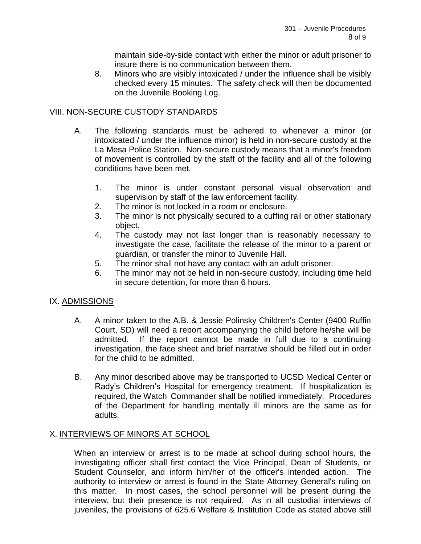maintain side-by-side contact with either the minor or adult prisoner to insure there is no communication between them.

8. Minors who are visibly intoxicated / under the influence shall be visibly checked every 15 minutes. The safety check will then be documented on the Juvenile Booking Log.

## VIII. NON-SECURE CUSTODY STANDARDS

- A. The following standards must be adhered to whenever a minor (or intoxicated / under the influence minor) is held in non-secure custody at the La Mesa Police Station. Non-secure custody means that a minor's freedom of movement is controlled by the staff of the facility and all of the following conditions have been met.
	- 1. The minor is under constant personal visual observation and supervision by staff of the law enforcement facility.
	- 2. The minor is not locked in a room or enclosure.
	- 3. The minor is not physically secured to a cuffing rail or other stationary object.
	- 4. The custody may not last longer than is reasonably necessary to investigate the case, facilitate the release of the minor to a parent or guardian, or transfer the minor to Juvenile Hall.
	- 5. The minor shall not have any contact with an adult prisoner.
	- 6. The minor may not be held in non-secure custody, including time held in secure detention, for more than 6 hours.

## IX. ADMISSIONS

- A. A minor taken to the A.B. & Jessie Polinsky Children's Center (9400 Ruffin Court, SD) will need a report accompanying the child before he/she will be admitted. If the report cannot be made in full due to a continuing investigation, the face sheet and brief narrative should be filled out in order for the child to be admitted.
- B. Any minor described above may be transported to UCSD Medical Center or Rady's Children's Hospital for emergency treatment. If hospitalization is required, the Watch Commander shall be notified immediately. Procedures of the Department for handling mentally ill minors are the same as for adults.

# X. INTERVIEWS OF MINORS AT SCHOOL

When an interview or arrest is to be made at school during school hours, the investigating officer shall first contact the Vice Principal, Dean of Students, or Student Counselor, and inform him/her of the officer's intended action. The authority to interview or arrest is found in the State Attorney General's ruling on this matter. In most cases, the school personnel will be present during the interview, but their presence is not required. As in all custodial interviews of juveniles, the provisions of 625.6 Welfare & Institution Code as stated above still